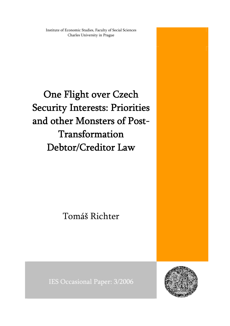Institute of Economic Studies, Faculty of Social Sciences Charles University in Prague

One Flight over Czech Security Interests: Priorities and other Monsters of Post-Transformation Debtor/Creditor Law

Tomáš Richter

IES Occasional Paper: 3/2006

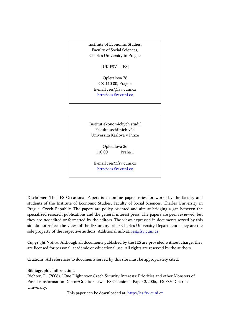Institute of Economic Studies, Faculty of Social Sciences, Charles University in Prague

[UK FSV – IES]

Opletalova 26 CZ-110 00, Prague E-mail : [ies@fsv.cuni.cz](mailto:IES@Mbox.FSV.CUNI.CZ) [http://ies.fsv.cuni.cz](http://ies.fsv.cuni.cz/)

Institut ekonomických studií Fakulta sociálních věd Univerzita Karlova v Praze

> Opletalova 26 110 00 Praha 1

E-mail : [ies@fsv.cuni.cz](mailto:IES@Mbox.FSV.CUNI.CZ) [http://ies.fsv.cuni.cz](http://ies.fsv.cuni.cz/)

Disclaimer: The IES Occasional Papers is an online paper series for works by the faculty and students of the Institute of Economic Studies, Faculty of Social Sciences, Charles University in Prague, Czech Republic. The papers are policy oriented and aim at bridging a gap between the specialized research publications and the general interest press. The papers are peer reviewed, but they are *not* edited or formatted by the editors. The views expressed in documents served by this site do not reflect the views of the IES or any other Charles University Department. They are the sole property of the respective authors. Additional info at: [ies@fsv.cuni.cz](mailto:ies@fsv.cuni.cz)

Copyright Notice: Although all documents published by the IES are provided without charge, they are licensed for personal, academic or educational use. All rights are reserved by the authors.

Citations: All references to documents served by this site must be appropriately cited.

#### Bibliographic information:

Richter, T., (2006). "One Flight over Czech Security Interests: Priorities and other Monsters of Post-Transformation Debtor/Creditor Law" IES Occasional Paper 3/2006, IES FSV. Charles University.

This paper can be downloaded at: [http://ies.fsv.cuni.cz](http://ies.fsv.cuni.cz/)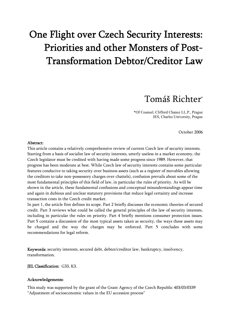# One Flight over Czech Security Interests: Priorities and other Monsters of Post-Transformation Debtor/Creditor Law

## Tomáš Richter\*

\*Of Counsel, Clifford Chance LL.P., Prague IES, Charles University, Prague

October 2006

#### Abstract:

This article contains a relatively comprehensive review of current Czech law of security interests. Starting from a basis of socialist law of security interests, utterly useless in a market economy, the Czech legislator must be credited with having made some progress since 1989. However, that progress has been moderate at best. While Czech law of security interests contains some particular features conducive to taking security over business assets (such as a register of movables allowing the creditors to take non-possessory charges over chattels), confusion prevails about some of the most fundamental principles of this field of law, in particular the rules of priority. As will be shown in the article, these fundamental confusions and conceptual misunderstandings appear time and again in dubious and unclear statutory provisions that reduce legal certainty and increase transaction costs in the Czech credit market.

In part 1, the article first defines its scope. Part 2 briefly discusses the economic theories of secured credit. Part 3 reviews what could be called the general principles of the law of security interests, including in particular the rules on priority. Part 4 briefly mentions consumer protection issues. Part 5 contains a discussion of the most typical assets taken as security, the ways these assets may be charged and the way the charges may be enforced. Part 5 concludes with some recommendations for legal reform.

Keywords: security interests, secured debt, debtor/creditor law, bankruptcy, insolvency, transformation.

JEL Classification: G33, K3.

#### Acknowledgements:

This study was supported by the grant of the Grant Agency of the Czech Republic 403/03/0339 "Adjustment of socioeconomic values in the EU accession process"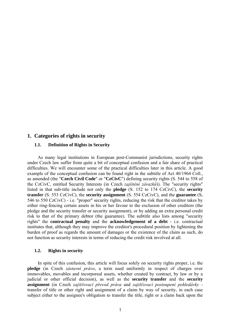#### **1. Categories of rights in security**

#### **1.1. Definition of Rights in Security**

As many legal institutions in European post-Communist jurisdictions, security rights under Czech law suffer from quite a bit of conceptual confusion and a fair share of practical difficulties. We will encounter some of the practical difficulties later in this article. A good example of the conceptual confusion can be found right in the subtitle of Act 40/1964 Coll., as amended (the "**Czech Civil Code**" or "**CzCivC**") defining security rights (S. 544 to 558 of the CzCivC, entitled Security Interests (in Czech *zajištění závazků*)). The "security rights" listed in that sub-title include not only the **pledge** (S. 152 to 174 CzCivC), the **security transfer** (S. 553 CzCivC), the **security assignment** (S. 554 CzCivC), and the **guarantee** (S**.**  546 to 550 CzCivC) - i.e. "proper" security rights, reducing the risk that the creditor takes by either ring-fencing certain assets in his or her favour to the exclusion of other creditors (the pledge and the security transfer or security assignment), or by adding an extra personal credit risk to that of the primary debtor (the guarantee). The subtitle also lists among "security rights" the **contractual penalty** and the **acknowledgement of a debt** - i.e. contractual institutes that, although they may improve the creditor's procedural position by lightening the burden of proof as regards the amount of damages or the existence of the claim as such, do not function as security interests in terms of reducing the credit risk involved at all.

#### **1.2. Rights in security**

In spite of this confusion, this article will focus solely on security rights proper, i.e. the **pledge** (in Czech *zástavní právo*, a term used uniformly in respect of charges over immovables, movables and incorporeal assets, whether created by contract, by law or by a judicial or other official decision), as well as the **security transfer** and the **security assignment** (in Czech *zajišťovací převod práva* and *zajišťovací postoupení pohledávky* transfer of title or other right and assignment of a claim by way of security, in each case subject either to the assignee's obligation to transfer the title, right or a claim back upon the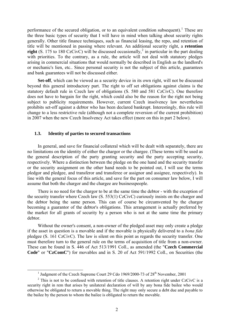performance of the secured obligation, or to an equivalent condition subsequent).<sup>[1](#page-4-0)</sup> These are the three basic types of security that I will have in mind when talking about security rights generally. Other title finance techniques, such as financial leasing, the repo, and retention of title will be mentioned in passing where relevant. An additional security right, a **retention right** (S. 175 to 180 CzCivC) will be discussed occasionally,<sup>[2](#page-4-1)</sup> in particular in the part dealing with priorities. To the contrary, as a rule, the article will not deal with statutory pledges arising in commercial situations that would normally be described in English as the landlord's or mechanic's lien, etc.. Since personal security is not the subject of this article, guarantees and bank guarantees will not be discussed either.

**Set-off**, which can be viewed as a security device in its own right, will not be discussed beyond this general introductory part. The right to off set obligations against claims is the statutory default rule in Czech law of obligations (S. 580 and 581 CzCivC). One therefore does not have to bargain for the right, which could also be the reason for the right not being subject to publicity requirements. However, current Czech insolvency law nevertheless prohibits set-off against a debtor who has been declared bankrupt. Interestingly, this rule will change to a less restrictive rule (although not a complete reversion of the current prohibition) in 2007 when the new Czech Insolvency Act takes effect (more on this in part 2 below).

#### **1.3. Identity of parties to secured transactions**

<span id="page-4-2"></span>In general, and save for financial collateral which will be dealt with separately, there are no limitations on the identity of either the chargor or the chargee. (These terms will be used as the general description of the party granting security and the party accepting security, respectively. Where a distinction between the pledge on the one hand and the security transfer or the security assignment on the other hand needs to be pointed out, I will use the terms pledgor and pledgee, and transferor and transferee or assignor and assignee, respectively). In line with the general focus of this article, and save for the part on consumer law below, I will assume that both the chargor and the chargee are businesspeople.

There is no need for the chargor to be at the same time the debtor - with the exception of the security transfer where Czech law (S. 553(1) CzCivC) curiously insists on the chargor and the debtor being the same person. This can of course be circumvented by the chargor becoming a guarantor of the debtor's obligations. This arrangement is actually preferred by the market for all grants of security by a person who is not at the same time the primary debtor.

Without the owner's consent, a non-owner of the pledged asset may only create a pledge if the asset in question is a movable and if the movable is physically delivered to a *bona fide* pledgee (S. 161 CzCivC). The law is silent on this point as regards the security transfer. One must therefore turn to the general rule on the terms of acquisition of title from a non-owner. These can be found in S. 446 of Act 513/1991 Coll., as amended (the "**Czech Commercial Code**" or "**CzComC**") for movables and in S. 20 of Act 591/1992 Coll., on Securities (the

 $\frac{1}{1}$ <sup>1</sup> Judgment of the Czech Supreme Court 29 Cdo 1969/2000-73 of 28<sup>th</sup> November, 2001

<span id="page-4-1"></span><span id="page-4-0"></span> $2$  This is not to be confused with retention of title clauses. A retention right under CzCivC is a security right in rem that arises by unilateral declaration of will by any bona fide bailee who would otherwise be obligated to return a movable thing. The right may only secure a debt due and payable to the bailee by the person to whom the bailee is obligated to return the movable.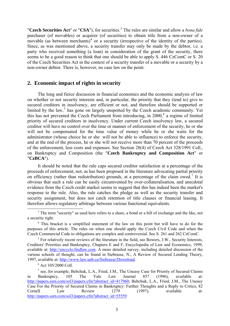"**Czech Securities Act**" or "**CSA**"), for securities.<sup>[3](#page-5-0)</sup> The rules are similar and allow a *bona fide* purchaser (of movables) or acquirer (of securities) to obtain title from a non-owner of a movable (as between merchants)<sup>[4](#page-5-1)</sup> or a security (irrespective of the identity of the parties). Since, as was mentioned above, a security transfer may only be made by the debtor, i.e. a party who received something (a loan) in consideration of the grant of the security, there seems to be a good reason to think that one should be able to apply S. 446 CzComC or S. 20 of the Czech Securities Act in the context of a security transfer of a movable or a security by a non-owner debtor. There is, however, no case law on the point.

#### **2. Economic impact of rights in security**

The long and fierce discussion in financial economics and the economic analysis of law on whether or not security interests and, in particular, the priority that they (tend to) give to secured creditors in insolvency, are efficient or not, and therefore should be supported or limited by the law,<sup>[5](#page-5-2)</sup> has gone on largely unspotted by the Czech academic community. Yet this has not prevented the Czech Parliament from introducing, in 2000,<sup>[6](#page-5-3)</sup> a regime of limited priority of secured creditors in insolvency. Under current Czech insolvency law, a secured creditor will have no control over the time or manner of enforcement of the security, he or she will not be compensated for the time value of money while he or she waits for the administrator (whose choice he or she will not be able to influence) to enforce the security, and at the end of the process, he or she will not receive more than 70 percent of the proceeds of the enforcement, less costs and expenses. See Section 28(4) of Czech Act 328/1991 Coll., on Bankruptcy and Composition (the "**Czech Bankruptcy and Composition Act**" or "**CzBCA**").

It should be noted that the rule caps secured creditor satisfaction at a percentage of the proceeds of enforcement, not, as has been proposed in the literature advocating partial priority on efficiency (rather than redistribution) grounds, at a percentage of the claim owed.<sup>[7](#page-5-4)</sup> It is obvious that such a rule can be easily circumvented by over-collateralisation, and anecdotal evidence from the Czech credit market seems to suggest that this has indeed been the market's response to the rule. Also, the rule catches the pledge as well as the security transfer and security assignment, but does not catch retention of title clauses or financial leasing. It therefore allows regulatory arbitrage between various functional equivalents. 3

<span id="page-5-0"></span><sup>&</sup>lt;sup>3</sup> The term "security" as used here refers to a share, a bond or a bill of exchange and the like, not a security right.

<span id="page-5-1"></span><sup>&</sup>lt;sup>4</sup> This bracket is a simplified statement of the law on this point but will have to do for the purposes of this article. The rules on when one should apply the Czech Civil Code and when the Czech Commercial Code to obligations are complex and controversial. See S. 261 and 262 CzComC.

<span id="page-5-2"></span> $<sup>5</sup>$  For relatively recent reviews of the literature in the field, see Bowers, J.W., Security Interests,</sup> Creditors' Priorities and Bankruptcy, Chapters E and F, Encyclopedia of Law and Economics, 1999, available at: [http://encyclo.findlaw.com](http://encyclo.findlaw.com/). A more detailed survey, including detailed discussion of the various schools of thought, can be found in Siebrasse, N., A Review of Secured Lending Theory, 1997, available at: [http://www.law.unb.ca/Siebrasse/Download.](http://www.law.unb.ca/Siebrasse/Download) 6

 $6$  Act 105/2000 Coll.

<span id="page-5-4"></span><span id="page-5-3"></span> $<sup>7</sup>$  see, for example, Bebchuk, L.A., Fried, J.M., The Uneasy Case for Priority of Secured Claims</sup> in Bankruptcy, 105 The Yale Law Journal 857 (1996), available at: [http://papers.ssrn.com/sol3/papers.cfm?abstract\\_id=417960](http://papers.ssrn.com/sol3/papers.cfm?abstract_id=417960); Bebchuk, L.A., Fried, J.M., The Uneasy Case For the Priority of Secured Claims in Bankruptcy: Further Thoughts and a Reply to Critics, 82 Cornell Law Review 1279 (1997), available at: [http://papers.ssrn.com/sol3/papers.cfm?abstract\\_id=55559](http://papers.ssrn.com/sol3/papers.cfm?abstract_id=55559)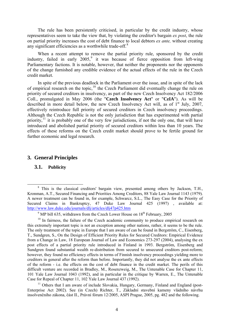The rule has been persistently criticised, in particular by the credit industry, whose representatives seem to take the view that, by violating the creditor's bargain *ex post*, the rule on partial priority increases the cost of debt finance to local debtors *ex ante,* without creating any significant efficiencies as a worthwhile trade-off.<sup>[8](#page-6-0)</sup>

When a recent attempt to remove the partial priority rule, sponsored by the credit industry, failed in early  $2005$ , it was because of fierce opposition from left-wing Parliamentary factions. It is notable, however, that neither the proponents nor the opponents of the change furnished any credible evidence of the actual effects of the rule in the Czech credit market.

In spite of the previous deadlock in the Parliament over the issue, and in spite of the lack of empirical research on the topic,[10](#page-6-2) the Czech Parliament did eventually change the rule on priority of secured creditors in insolvency, as part of the new Czech Insolvency Act 182/2006 Coll., promulgated in May 2006 (the "**Czech Insolvency Act**" or "**CzIA**"). As will be described in more detail below, the new Czech Insolvency Act will, as of  $1<sup>st</sup>$  July, 2007, effectively reintroduce full priority of secured creditors in Czech insolvency proceedings. Although the Czech Republic is not the only jurisdiction that has experimented with partial priority, $^{11}$  $^{11}$  $^{11}$  it is probably one of the very few jurisdictions, if not the only one, that will have introduced and abolished partial priority of secured creditors within less than 10 years. The effects of these reforms on the Czech credit market should prove to be fertile ground for further economic and legal research.

#### **3. General Principles**

#### **3.1. Publicity**

<span id="page-6-3"></span> $11$  Others that I am aware of include Slovakia, Hungary, Germany, Finland and England (post-Enterprise Act 2002). See (in Czech) Richter, T., Základní stavební kameny vládního návrhu insolvenčního zákona, část II., Právní fórum 12/2005, ASPI Prague, 2005, pg. 482 and the following.

<span id="page-6-0"></span> <sup>8</sup> This is the classical creditors' bargain view, presented among others by Jackson, T.H., Kronman, A.T., Secured Financing and Priorities Among Creditors, 88 Yale Law Journal 1143 (1979). A newer treatment can be found in, for example, Schwarcz, S.L., The Easy Case for the Priority of Secured Claims in Bankruptcy, 47 Duke Law Journal 425 (1997) , available at: <http://www.law.duke.edu/journals/dlj/articles/dlj47p425.htm>

<sup>&</sup>lt;sup>9</sup> MP bill 635, withdrawn from the Czech Lower House on  $18<sup>th</sup>$  February, 2005

<span id="page-6-2"></span><span id="page-6-1"></span> $10$  In fairness, the failure of the Czech academic community to produce empirical research on this extremely important topic is not an exception among other nations, rather, it seems to be the rule. The only treatment of the topic in Europe that I am aware of can be found in Bergström, C., Eisenberg, T., Sundgren, S., On the Design of Efficient Priority Rules for Secured Creditors: Empirical Evidence from a Change in Law, 18 European Journal of Law and Economics 273-297 (2004), analysing the ex post effects of a partial priority rule introduced in Finland in 1993. Bergström, Eisenberg and Sundgren found substantial wealth re-distribution from secured to unsecured creditors post-reform; however, they found no efficiency effects in terms of Finnish insolvency proceedings yielding more to creditors in general after the reform than before. Importantly, they did not analyse the ex ante effects of the reform - i.e. the effects on the cost of debt finance in the credit market. The perils of this difficult venture are recorded in Bradley, M., Rosenzweig, M., The Untenable Case for Chapter 11, 101 Yale Law Journal 1043 (1992), and in particular in the critique by Warren, E., The Untenable Case for Repeal of Chapter 11, 102 Yale Law Journal 437 (1992).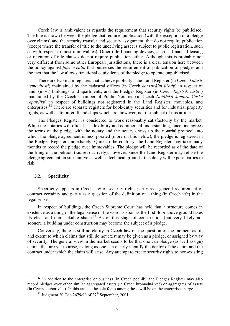Czech law is ambivalent as regards the requirement that security rights be publicised. The line is drawn between the pledge that requires publication (with the exception of a pledge over claims) and the security transfer and security assignment, that do not require publication (except where the transfer of title to the underlying asset is subject to public registration, such as with respect to most immovables). Other title financing devices, such as financial leasing or retention of title clauses do not require publication either. Although this is probably not very different from some other European jurisdictions, there is a clear tension here between the policy against *false wealth* that buttresses the requirement of publication of pledges and the fact that the law allows functional equivalents of the pledge to operate unpublicised.

There are two main registers that achieve publicity - the Land Register (in Czech *katastr nemovitostí*) maintained by the cadastral offices (in Czech *katastrální úřady*) in respect of land, (most) buildings, and apartments, and the Pledges Register (in Czech *Rejstřík zástav*) maintained by the Czech Chamber of Public Notaries (in Czech *Notářská komora České republiky*) in respect of buildings not registered in the Land Register, movables, and enterprises.[12](#page-7-0) There are separate registers for book-entry securities and for industrial property rights, as well as for aircraft and ships which are, however, not the subject of this article.

The Pledges Register is considered to work reasonably satisfactorily by the market. While the notaries will often lack flexibility and commercial understanding, once one agrees the terms of the pledge with the notary and the notary draws up the notarial protocol into which the pledge agreement is incorporated (more on this below), the pledge is registered in the Pledges Register immediately. Quite to the contrary, the Land Register may take many months to record the pledge over immovables. The pledge will be recorded as of the date of the filing of the petition (i.e. retroactively), however, since the Land Register may refuse the pledge agreement on substantive as well as technical grounds, this delay will expose parties to risk.

#### **3.2. Specificity**

Specificity appears in Czech law of security rights partly as a general requirement of contract certainty and partly as a question of the definition of a thing (in Czech *věc*) in the legal sense.

In respect of buildings, the Czech Supreme Court has held that a structure comes in existence as a thing in the legal sense of the word as soon as the first floor above ground takes its clear and unmistakable shape.<sup>[13](#page-7-1)</sup> As of this stage of construction (but very likely not sooner), a building under construction may become the subject of a pledge.

Conversely, there is still no clarity in Czech law on the question of the moment as of, and extent to which claims that still do not exist may be given as a pledge, or assigned by way of security. The general view in the market seems to be that one can pledge (as well assign) claims that are yet to arise, as long as one can clearly identify the debtor of the claim and the contract under which the claim will arise. Any attempt to create security rights to non-existing

<span id="page-7-1"></span><span id="page-7-0"></span> $12$  In addition to the enterprise or business (in Czech podnik), the Pledges Register may also record pledges over other similar aggregated assets (in Czech hromadná věc) or aggregates of assets (in Czech soubor věcí). In this article, the sole focus among these will be on the enterprise charge.

<sup>&</sup>lt;sup>13</sup> Judgment 20 Cdo 2679/99 of  $27<sup>th</sup>$  September, 2001.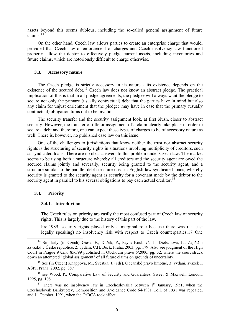assets beyond this seems dubious, including the so-called general assignment of future claims $14$ 

On the other hand, Czech law allows parties to create an enterprise charge that would, provided that Czech law of enforcement of charges and Czech insolvency law functioned properly, allow the debtor to effectively pledge current assets, including inventories and future claims, which are notoriously difficult to charge otherwise.

#### **3.3. Accessory nature**

The Czech pledge is strictly accessory in its nature - its existence depends on the existence of the secured debt.<sup>[15](#page-8-1)</sup> Czech law does not know an abstract pledge. The practical implication of this is that in all pledge agreements, the pledgee will always want the pledge to secure not only the primary (usually contractual) debt that the parties have in mind but also any claim for unjust enrichment that the pledgee may have in case that the primary (usually contractual) obligation turns out to be invalid.

The security transfer and the security assignment look, at first blush, closer to abstract security. However, the transfer of title or assignment of a claim clearly take place in order to secure a debt and therefore, one can expect these types of charges to be of accessory nature as well. There is, however, no published case law on this issue.

One of the challenges to jurisdictions that know neither the trust nor abstract security rights is the structuring of security rights in situations involving multiplicity of creditors, such as syndicated loans. There are no clear answers to this problem under Czech law. The market seems to be using both a structure whereby all creditors and the security agent are owed the secured claims jointly and severally, security being granted to the security agent, and a structure similar to the parallel debt structure used in English law syndicated loans, whereby security is granted to the security agent as security for a covenant made by the debtor to the security agent in parallel to his several obligations to pay each actual creditor.<sup>[16](#page-8-2)</sup>

#### <span id="page-8-4"></span>**3.4. Priority**

#### **3.4.1. Introduction**

The Czech rules on priority are easily the most confused part of Czech law of security rights. This is largely due to the history of this part of the law.

Pre-1989, security rights played only a marginal role because there was (at least legally speaking) no insolvency risk with respect to Czech counterparties.[17](#page-8-3) One

<span id="page-8-0"></span><sup>&</sup>lt;sup>14</sup> Similarly (in Czech) Giese, E., Dušek, P., Payne-Koubová, J., Dietschová, L., Zajištění závazků v České republice, 2. vydání, C.H. Beck, Praha, 2003, pg. 179. Also see judgment of the High Court in Prague 9 Cmo 856/99 published in Obchodní právo 6/2000, pg. 32, where the court struck down an attempted "global assignment" of all future claims on grounds of uncertainty.

<span id="page-8-1"></span><sup>&</sup>lt;sup>15</sup> See (in Czech) Knappová, M., Švestka, J. (eds), Občanské právo hmotné, 3. vydání, svazek I, ASPI, Praha, 2002, pg. 387

<span id="page-8-2"></span><sup>&</sup>lt;sup>16</sup> see Wood, P., Comparative Law of Security and Guarantees, Sweet & Maxwell, London, 1995, pg. 108

<span id="page-8-3"></span><sup>&</sup>lt;sup>17</sup> There was no insolvency law in Czechoslovakia between  $1<sup>st</sup>$  January, 1951, when the Czechoslovak Bankruptcy, Composition and Avoidance Code 64/1931 Coll. of 1931 was repealed, and  $1<sup>st</sup>$  October, 1991, when the CzBCA took effect.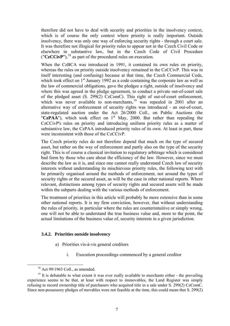therefore did not have to deal with security and priorities in the insolvency context, which is of course the only context where priority is really important. Outside insolvency, there was only one way of enforcing security rights - through a court sale. It was therefore not illogical for priority rules to appear not in the Czech Civil Code or elsewhere in substantive law, but in the Czech Code of Civil Procedure  $({}^{\prime\prime}CzCCivP^{\prime\prime})$ ,  $^{18}$  $^{18}$  $^{18}$  as part of the procedural rules on execution.

When the CzBCA was introduced in 1991, it contained its own rules on priority, whereas the rules on priority outside insolvency remained in the CzCCivP. This was in itself interesting (and confusing) because at that time, the Czech Commercial Code, which took effect on 1<sup>st</sup> January 1992 as a code containing the corporate law as well as the law of commercial obligations, gave the pledgee a right, outside of insolvency and where this was agreed in the pledge agreement, to conduct a private out-of-court sale of the pledged asset (S. 299(2) CzComC). This right of out-of-court enforcement, which was never available to non-merchants,<sup>[19](#page-9-1)</sup> was repealed in 2001 after an alternative way of enforcement of security rights was introduced - an out-of-court, state-regulated auction under the Act 26/2000 Coll., on Public Auctions (the " $CzPAA$ "), which took effect on 1<sup>st</sup> May, 2000. But rather than repealing the CzCCivP's rules on priority and introducing uniform priority rules as a matter of substantive law, the CzPAA introduced priority rules of its own. At least in part, these were inconsistent with those of the CzCCivP.

The Czech priority rules do not therefore depend that much on the type of secured asset, but rather on the way of enforcement and partly also on the type of the security right. This is of course a classical invitation to regulatory arbitrage which is considered bad form by those who care about the efficiency of the law. However, since we must describe the law as it is, and since one cannot really understand Czech law of security interests without understanding its mischievous priority rules, the following text with be primarily organised around the methods of enforcement, not around the types of security rights or the secured asset, as will be the case in other national reports. Where relevant, distinctions among types of security rights and secured assets will be made within the subparts dealing with the various methods of enforcement.

The treatment of priorities in this article will probably be more extensive than in some other national reports. It is my firm conviction, however, that without understanding the rules of priority, in particular where the rules are counterintuitive or simply wrong, one will not be able to understand the true business value and, more to the point, the actual limitations of the business value of, security interests in a given jurisdiction.

#### **3.4.2. Priorities outside insolvency**

- a) Priorities vis-à-vis general creditors
	- i. Execution proceedings commenced by a general creditor

 $18$  Act 99/1963 Coll., as amended.

<span id="page-9-2"></span><span id="page-9-1"></span><span id="page-9-0"></span><sup>&</sup>lt;sup>19</sup> It is debatable to what extent it was ever really available to merchants either - the prevailing experience seems to be that, at least with respect to immovables, the Land Register was simply refusing to record ownership title of purchasers who acquired title in a sale under S. 299(2) CzComC. Since non-possessory pledges of movables were not feasible at the time, this could mean that S. 299(2)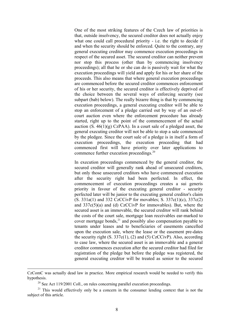One of the most striking features of the Czech law of priorities is that, outside insolvency, the secured creditor does not actually enjoy what one could call procedural priority - i.e. the right to decide if and when the security should be enforced. Quite to the contrary, any general executing creditor may commence execution proceedings in respect of the secured asset. The secured creditor can neither prevent nor stop this process (other than by commencing insolvency proceedings); all that he or she can do is passively wait for what the execution proceedings will yield and apply for his or her share of the proceeds. This also means that where general execution proceedings are commenced before the secured creditor commences enforcement of his or her security, the secured creditor is effectively deprived of the choice between the several ways of enforcing security (see subpart (bab) below). The really bizarre thing is that by commencing execution proceedings, a general executing creditor will be able to stop an enforcement of a pledge carried out by way of an out-ofcourt auction even where the enforcement procedure has already started, right up to the point of the commencement of the actual auction  $(S. 46(1)(g) CzPAA)$ . In a court sale of a pledged asset, the general executing creditor will not be able to stop a sale commenced by the pledgee. Since the court sale of a pledge is in itself a form of execution proceedings, the execution proceeding that had commenced first will have priority over later applications to commence further execution proceedings. [20](#page-10-0)

In execution proceedings commenced by the general creditor, the secured creditor will generally rank ahead of unsecured creditors, but only those unsecured creditors who have commenced execution after the security right had been perfected. In effect, the commencement of execution proceedings creates a sui generis priority in favour of the executing general creditor - security perfected later will be junior to the executing general creditor's claim (S. 331a(1) and 332 CzCCivP for movables; S. 337c(1)(c), 337c(2) and 337c(5)(a) and (d) CzCCivP for immovables). But, where the secured asset is an immovable, the secured creditor will rank behind the costs of the court sale, mortgage loan receivables ear-marked to cover mortgage bonds, $^{21}$  and possibly also compensation payable to tenants under leases and to beneficiaries of easements cancelled upon the execution sale, where the lease or the easement pre-dates the security right  $(S. 337c(1), (2)$  and  $(5)$  CzCCivP). Also, according to case law, where the secured asset is an immovable and a general creditor commences execution after the secured creditor had filed for registration of the pledge but before the pledge was registered, the general executing creditor will be treated as senior to the secured

-

CzComC was actually dead law in practice. More empirical research would be needed to verify this hypothesis.

<sup>&</sup>lt;sup>20</sup> See Act 119/2001 Coll., on rules concerning parallel execution proceedings.

<span id="page-10-1"></span><span id="page-10-0"></span> $21$  This would effectively only be a concern in the consumer lending context that is not the subject of this article.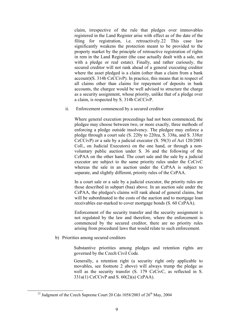claim, irrespective of the rule that pledges over immovables registered in the Land Register arise with effect as of the date of the filing for registration, i.e. retroactively.[22](#page-11-0) This case law significantly weakens the protection meant to be provided to the property market by the principle of retroactive registration of rights in rem in the Land Register (the case actually dealt with a sale, not with a pledge or real estate). Finally, and rather curiously, the secured creditor will not rank ahead of a general executing creditor where the asset pledged is a claim (other than a claim from a bank account)(S. 314b CzCCivP). In practice, this means that in respect of all claims other than claims for repayment of deposits in bank accounts, the chargee would be well advised to structure the charge as a security assignment, whose priority, unlike that of a pledge over a claim, is respected by S. 314b CzCCivP.

<span id="page-11-1"></span>ii. Enforcement commenced by a secured creditor

Where general execution proceedings had not been commenced, the pledgee may choose between two, or more exactly, three methods of enforcing a pledge outside insolvency. The pledgee may enforce a pledge through a court sale (S. 220y to 220za, S. 338a, and S. 338zr CzCCivP) or a sale by a judicial executor (S. 59(3) of Act 120/2001 Coll., on Judicial Executors) on the one hand, or through a nonvoluntary public auction under S. 36 and the following of the CzPAA on the other hand. The court sale and the sale by a judicial executor are subject to the same priority rules under the CzCivC whereas the sale in an auction under the CzPAA is subject to separate, and slightly different, priority rules of the CzPAA.

In a court sale or a sale by a judicial executor, the priority rules are those described in subpart (baa) above. In an auction sale under the CzPAA, the pledgee's claims will rank ahead of general claims, but will be subordinated to the costs of the auction and to mortgage loan receivables ear-marked to cover mortgage bonds (S. 60 CzPAA).

Enforcement of the security transfer and the security assignment is not regulated by the law and therefore, where the enforcement is commenced by the secured creditor, there are no priority rules arising from procedural laws that would relate to such enforcement.

b) Priorities among secured creditors

Substantive priorities among pledges and retention rights are governed by the Czech Civil Code.

Generally, a retention right (a security right only applicable to movables, see footnote 2 above) will always trump the pledge as well as the security transfer (S. 179 CzCivC, as reflected in S. 331a(1) CzCCivP and S. 60(2)(a) CzPAA).

<span id="page-11-0"></span><sup>&</sup>lt;sup>22</sup> Judgment of the Czech Supreme Court 20 Cdo  $1058/2003$  of  $26<sup>th</sup>$  May, 2004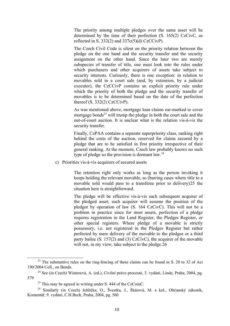The priority among multiple pledges over the same asset will be determined by the time of their perfection (S. 165(2) CzCivC, as reflected in S.  $332(2)$  and  $337c(5)(d)$  CzCCivP).

The Czech Civil Code is silent on the priority relation between the pledge on the one hand and the security transfer and the security assignment on the other hand. Since the later two are merely subspecies of transfer of title, one must look into the rules under which purchasers and other acquirers of assets take subject to security interests. Curiously, there is one exception: in relation to movables sold in a court sale (and, by extension, by a judicial executor), the CzCCivP contains an explicit priority rule under which the priority of both the pledge and the security transfer of movables is to be determined based on the date of the perfection thereof  $(S. 332(2)$  CzCCivP).

As was mentioned above, mortgage loan claims ear-marked to cover mortgage bonds<sup>[23](#page-12-0)</sup> will trump the pledge in both the court sale and the out-of-court auction. It is unclear what is the relation vis-à-vis the security transfer.

Finally, CzPAA contains a separate superpriority class, ranking right behind the costs of the auction, reserved for claims secured by a pledge that are to be satisfied in first priority irrespective of their general ranking. At the moment, Czech law probably knows no such type of pledge so the provision is dormant law.<sup>[24](#page-12-1)</sup>

<span id="page-12-4"></span>c) Priorities vis-à-vis acquirers of secured assets

The retention right only works as long as the person invoking it keeps holding the relevant movable, so (barring cases where title to a movable sold would pass to a transferee prior to delivery)[25](#page-12-2) the situation here is straightforward.

The pledge will be effective vis-à-vis each subsequent acquirer of the pledged asset; such acquirer will assume the position of the pledgor by operation of law (S. 164 CzCivC). This will not be a problem in practice since for most assets, perfection of a pledge requires registration in the Land Register, the Pledges Register, or other special registers. Where pledge of a movable is strictly possessory, i.e. not registered in the Pledges Register but rather perfected by mere delivery of the movable to the pledgee or a third party bailee (S. 157(2) and (3) CzCivC), the acquirer of the movable will not, in my view, take subject to the pledge. [26](#page-12-3)

<span id="page-12-0"></span> $^{23}$  The substantive rules on the ring-fencing of these claims can be found in S. 28 to 32 of Act 190/2004 Coll., on Bonds.

<span id="page-12-1"></span><sup>&</sup>lt;sup>24</sup> See (in Czech) Winterová, A. (ed.), Civilní právo procesní, 3. vydání, Linde, Praha, 2004, pg. 579

 $25$  This may be agreed in writing under S, 444 of the CzComC.

<span id="page-12-3"></span><span id="page-12-2"></span><sup>26</sup> Similarly (in Czech) Jehlička, O., Švestka, J., Škárová, M. a kol., Občanský zákoník, Komentář, 9. vydání, C.H.Beck, Praha, 2004, pg. 560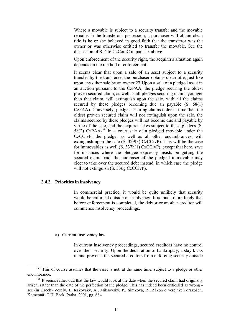Where a movable is subject to a security transfer and the movable remains in the transferor's possession, a purchaser will obtain clean title is he or she believed in good faith that the transferor was the owner or was otherwise entitled to transfer the movable. See the discussion of S. 446 CzComC in part [1.3](#page-4-2) above.

Upon enforcement of the security right, the acquirer's situation again depends on the method of enforcement.

It seems clear that upon a sale of an asset subject to a security transfer by the transferee, the purchaser obtains clean title, just like upon any other sale by an owner.[27](#page-13-0) Upon a sale of a pledged asset in an auction pursuant to the CzPAA, the pledge securing the oldest proven secured claim, as well as all pledges securing claims younger than that claim, will extinguish upon the sale, with all the claims secured by these pledges becoming due an payable  $(S. 58(1))$ CzPAA). Conversely, pledges securing claims older in time than the oldest proven secured claim will not extinguish upon the sale, the claims secured by these pledges will not become due and payable by virtue of the sale, and the acquirer takes subject to these pledges (S. 58(2) CzPAA).<sup>[28](#page-13-1)</sup> In a court sale of a pledged movable under the CzCCivP, the pledge, as well as all other encumbrances, will extinguish upon the sale (S. 329(3) CzCCivP). This will be the case for immovables as well (S. 337h(1) CzCCivP), except that here, save for instances where the pledgee expressly insists on getting the secured claim paid, the purchaser of the pledged immovable may elect to take over the secured debt instead, in which case the pledge will not extinguish (S. 336g CzCCivP).

#### **3.4.3. Priorities in insolvency**

In commercial practice, it would be quite unlikely that security would be enforced outside of insolvency. It is much more likely that before enforcement is completed, the debtor or another creditor will commence insolvency proceedings.

#### a) Current insolvency law

In current insolvency proceedings, secured creditors have no control over their security. Upon the declaration of bankruptcy, a stay kicks in and prevents the secured creditors from enforcing security outside

<span id="page-13-0"></span> $27$  This of course assumes that the asset is not, at the same time, subject to a pledge or other encumbrance.

<span id="page-13-1"></span> $28$  It seems rather odd that the law would look at the date when the secured claim had originally arisen, rather than the date of the perfection of the pledge. This has indeed been criticised as wrong see (in Czech) Veselý, J., Rakovský, A., Mikšovský, P., Šimková, R., Zákon o veřejných dražbách, Komentář, C.H. Beck, Praha, 2001, pg. 684.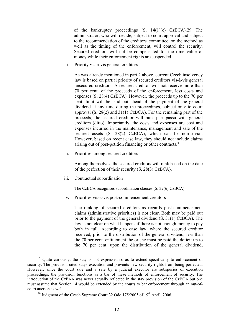of the bankruptcy proceedings (S. 14(1)(e) CzBCA).[29](#page-14-0) The administrator, who will decide, subject to court approval and subject to the recommendation of the creditors' committee, on the method as well as the timing of the enforcement, will control the security. Secured creditors will not be compensated for the time value of money while their enforcement rights are suspended.

i. Priority vis-à-vis general creditors

As was already mentioned in part 2 above, current Czech insolvency law is based on partial priority of secured creditors vis-à-vis general unsecured creditors. A secured creditor will not receive more than 70 per cent. of the proceeds of the enforcement, less costs and expenses (S. 28(4) CzBCA). However, the proceeds up to the 70 per cent. limit will be paid out ahead of the payment of the general dividend at any time during the proceedings, subject only to court approval (S. 28(2) and 31(1) CzBCA). For the remaining part of the proceeds, the secured creditor will rank pari passu with general creditors (ditto). Importantly, the costs and expenses are cost and expenses incurred in the maintenance, management and sale of the secured assets (S. 28(2) CzBCA), which can be non-trivial. However, based on recent case law, they should not include claims arising out of post-petition financing or other contracts.<sup>[30](#page-14-1)</sup>

ii. Priorities among secured creditors

Among themselves, the secured creditors will rank based on the date of the perfection of their security (S. 28(3) CzBCA).

iii. Contractual subordination

The CzBCA recognises subordination clauses (S. 32(6) CzBCA).

iv. Priorities vis-à-vis post-commencement creditors

The ranking of secured creditors as regards post-commencement claims (administrative priorities) is not clear. Both may be paid out prior to the payment of the general dividend (S. 31(1) CzBCA). The law is not clear on what happens if there is not enough money to pay both in full. According to case law, where the secured creditor received, prior to the distribution of the general dividend, less than the 70 per cent. entitlement, he or she must be paid the deficit up to the 70 per cent. upon the distribution of the general dividend,

<span id="page-14-0"></span><sup>&</sup>lt;sup>29</sup> Ouite curiously, the stay is not expressed so as to extend specifically to enforcement of security. The provision cited stays execution and prevents new security rights from being perfected. However, since the court sale and a sale by a judicial executor are subspecies of execution proceedings, the provision functions as a bar of these methods of enforcement of security. The introduction of the CzPAA was never actually reflected in the stay provision of the CzBCA but one must assume that Section 14 would be extended by the courts to bar enforcement through an out-ofcourt auction as well.

<span id="page-14-1"></span> $30$  Judgment of the Czech Supreme Court 32 Odo 175/2005 of  $19<sup>th</sup>$  April, 2006.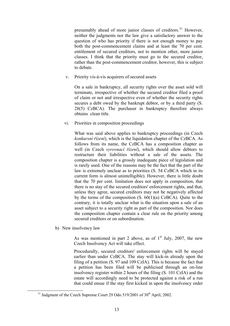presumably ahead of more junior classes of creditors.<sup>[31](#page-15-0)</sup> However, neither the judgments nor the law give a satisfactory answer to the question of who has priority if there is not enough money to pay both the post-commencement claims and at least the 70 per cent. entitlement of secured creditors, not to mention other, more junior classes. I think that the priority must go to the secured creditor, rather than the post-commencement creditor, however, this is subject to debate.

<span id="page-15-2"></span>v. Priority vis-à-vis acquirers of secured assets

On a sale in bankruptcy, all security rights over the asset sold will terminate, irrespective of whether the secured creditor filed a proof of claim or not and irrespective even of whether the security rights secures a debt owed by the bankrupt debtor, or by a third party (S. 28(5) CzBCA). The purchaser in bankruptcy therefore always obtains clean title.

<span id="page-15-3"></span>vi. Priorities in composition proceedings

What was said above applies to bankruptcy proceedings (in Czech *konkursní řízení*), which is the liquidation chapter of the CzBCA. As follows from its name, the CzBCA has a composition chapter as well (in Czech *vyrovnací řízení*), which should allow debtors to restructure their liabilities without a sale of the assets. The composition chapter is a grossly inadequate piece of legislation and is rarely used. One of the reasons may be the fact that the part of the law is extremely unclear as to priorities (S. 54 CzBCA which in its current form is almost unintelligible). However, there is little doubt that the 70 per cent. limitation does not apply in composition, that there is no stay of the secured creditors' enforcement rights, and that, unless they agree, secured creditors may not be negatively affected by the terms of the composition (S. 60(1)(a) CzBCA). Quite to the contrary, it is totally unclear what is the situation upon a sale of an asset subject to a security right as part of the composition. Nor does the composition chapter contain a clear rule on the priority among secured creditors or on subordination.

<span id="page-15-1"></span>b) New insolvency law

As was mentioned in part 2 above, as of  $1<sup>st</sup>$  July, 2007, the new Czech Insolvency Act will take effect.

Procedurally, secured creditors' enforcement rights will be stayed earlier than under CzBCA. The stay will kick-in already upon the filing of a petition (S. 97 and 109 CzIA). This is because the fact that a petition has been filed will be publicised through an on-line insolvency register within 2 hours of the filing (S. 101 CzIA) and the estate will accordingly need to be protected against a risk of a run that could ensue if the stay first kicked in upon the insolvency order

<span id="page-15-0"></span> $31$  Judgment of the Czech Supreme Court 29 Odo 519/2001 of  $30<sup>th</sup>$  April, 2002.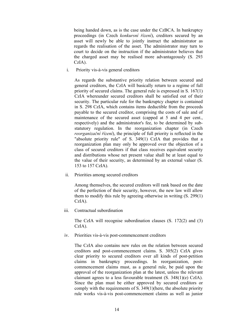being handed down, as is the case under the CzBCA. In bankruptcy proceedings (in Czech *konkursní řízení*), creditors secured by an asset will newly be able to jointly instruct the administrator as regards the realisation of the asset. The administrator may turn to court to decide on the instruction if the administrator believes that the charged asset may be realised more advantageously (S. 293 CzIA).

<span id="page-16-0"></span>i. Priority vis-à-vis general creditors

As regards the substantive priority relation between secured and general creditors, the CzIA will basically return to a regime of full priority of secured claims. The general rule is expressed in S. 167(1) CzIA whereunder secured creditors shall be satisfied out of their security. The particular rule for the bankruptcy chapter is contained in S. 298 CzIA, which contains items deductible from the proceeds payable to the secured creditor, comprising the costs of sale and of maintenance of the secured asset (capped at 5 and 4 per cent., respectively) and the administrator's fee, to be determined by substatutory regulation. In the reorganization chapter (in Czech *reorganizační řízení*), the principle of full priority is reflected in the "absolute priority rule" of S. 349(1) CzIA that provides that a reorganization plan may only be approved over the objection of a class of secured creditors if that class receives equivalent security and distributions whose net present value shall be at least equal to the value of their security, as determined by an external valuer (S. 153 to 157 CzIA).

ii. Priorities among secured creditors

Among themselves, the secured creditors will rank based on the date of the perfection of their security, however, the new law will allow them to modify this rule by agreeing otherwise in writing (S. 299(1) CzIA).

iii. Contractual subordination

The CzIA will recognise subordination clauses (S. 172(2) and (3) CzIA).

iv. Priorities vis-à-vis post-commencement creditors

The CzIA also contains new rules on the relation between secured creditors and post-commencement claims. S. 305(2) CzIA gives clear priority to secured creditors over all kinds of post-petition claims in bankruptcy proceedings. In reorganization, postcommencement claims must, as a general rule, be paid upon the approval of the reorganization plan at the latest, unless the relevant claimant agrees to a less favourable treatment (S. 348(1)(e) CzIA). Since the plan must be either approved by secured creditors or comply with the requirements of S. 349(1)(here, the absolute priority rule works vis-à-vis post-commencement claims as well as junior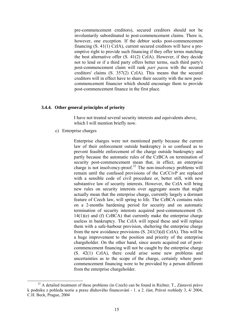pre-commencement creditors), secured creditors should not be involuntarily subordinated to post-commencement claims. There is, however, one exception. If the debtor seeks post-commencement financing (S. 41(1) CzIA), current secured creditors will have a preemptive right to provide such financing if they offer terms matching the best alternative offer (S. 41(2) CzIA). However, if they decide not to lend or if a third party offers better terms, such third party's post-commencement claim will rank *pari passu* with the secured creditors' claims (S. 357(2) CzIA). This means that the secured creditors will in effect have to share their security with the new postcommencement financier which should encourage them to provide post-commencement finance in the first place.

#### **3.4.4. Other general principles of priority**

I have not treated several security interests and equivalents above, which I will mention briefly now.

c) Enterprise charges

Enterprise charges were not mentioned partly because the current law of their enforcement outside bankruptcy is so confused as to prevent feasible enforcement of the charge outside bankruptcy and partly because the automatic rules of the CzBCA on termination of security post-commencement mean that, in effect, an enterprise charge is not insolvency-proof.<sup>[32](#page-17-0)</sup> The non-insolvency problems will remain until the confused provisions of the CzCCivP are replaced with a sensible code of civil procedure or, better still, with new substantive law of security interests. However, the CzIA will bring new rules on security interests over aggregate assets that might actually mean that the enterprise charge, currently largely a dormant feature of Czech law, will spring to life. The CzBCA contains rules on a 2-months hardening period for security and on automatic termination of security interests acquired post-commencement (S.  $14(1)(e)$  and (f) CzBCA) that currently make the enterprise charge useless in bankruptcy. The CzIA will repeal these and will replace them with a safe-harbour provision, sheltering the enterprise charge from the new avoidance provisions (S. 241(3)(d) CzIA). This will be a huge improvement to the position and priority of the enterprise chargeholder. On the other hand, since assets acquired out of postcommencement financing will not be caught by the enterprise charge (S. 42(1) CzIA), there could arise some new problems and uncertainties as to the scope of the charge, certainly where postcommencement financing were to be provided by a person different from the enterprise chargeholder.

<span id="page-17-0"></span> $32$  A detailed treatment of these problems (in Czech) can be found in Richter, T., Zástavní právo k podniku z pohledu teorie a praxe dluhového financování - 1. a 2. část, Právní rozhledy 3, 4/ 2004, C.H. Beck, Prague, 2004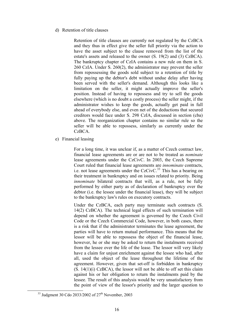<span id="page-18-1"></span>d) Retention of title clauses

Retention of title clauses are currently not regulated by the CzBCA and they thus in effect give the seller full priority via the action to have the asset subject to the clause removed from the list of the estate's assets and released to the owner (S. 19(2) and (3) CzBCA). The bankruptcy chapter of CzIA contains a new rule on them in S. 260 CzIA. Under S. 260(2), the administrator may prevent the seller from repossessing the goods sold subject to a retention of title by fully paying up the debtor's debt without undue delay after having been served with the seller's demand. Although this looks like a limitation on the seller, it might actually improve the seller's position. Instead of having to repossess and try to sell the goods elsewhere (which is no doubt a costly process) the seller might, if the administrator wishes to keep the goods, actually get paid in full ahead of everybody else, and even net of the deductions that secured creditors would face under S. 298 CzIA, discussed in section (cba) above. The reorganization chapter contains no similar rule so the seller will be able to repossess, similarly as currently under the CzBCA.

<span id="page-18-2"></span>e) Financial leasing

For a long time, it was unclear if, as a matter of Czech contract law, financial lease agreements are or are not to be treated as *nominate* lease agreements under the CzCivC. In 2003, the Czech Supreme Court ruled that financial lease agreements are *innominate* contracts, i.e. not lease agreements under the CzCivC.<sup>[33](#page-18-0)</sup> This has a bearing on their treatment in bankruptcy and on issues related to priority. Being *innominate* bilateral contracts that will, as a rule, not be fully performed by either party as of declaration of bankruptcy over the debtor (i.e. the lessee under the financial lease), they will be subject to the bankruptcy law's rules on executory contracts.

Under the CzBCA, each party may terminate such contracts (S. 14(2) CzBCA). The technical legal effects of such termination will depend on whether the agreement is governed by the Czech Civil Code or the Czech Commercial Code, however, in both cases, there is a risk that if the administrator terminates the lease agreement, the parties will have to return mutual performance. This means that the lessor will be able to repossess the object of the financial lease, however, he or she may be asked to return the instalments received from the lessee over the life of the lease. The lessor will very likely have a claim for unjust enrichment against the lessee who had, after all, used the object of the lease throughout the lifetime of the agreement. However, given that set-off is forbidden in bankruptcy  $(S. 14(1)(i) CZBCA)$ , the lessor will not be able to off set this claim against his or her obligation to return the instalments paid by the lessee. The result of this analysis would be very unsatisfactory from the point of view of the lessor's priority and the larger question to

<span id="page-18-0"></span> $33$  Judgment 30 Cdo 2033/2002 of  $27<sup>th</sup>$  November, 2003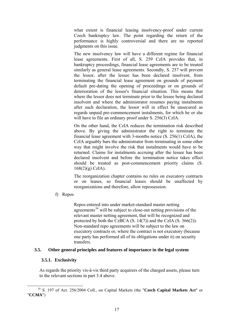what extent is financial leasing insolvency-proof under current Czech bankruptcy law. The point regarding the return of the performance is highly controversial and there are no reported judgments on this issue.

The new insolvency law will have a different regime for financial lease agreements. First of all, S. 259 CzIA provides that, in bankruptcy proceedings, financial lease agreements are to be treated similarly as general lease agreements. Secondly, S. 257 will prevent the lessor, after the lessee has been declared insolvent, from terminating the financial lease agreement on grounds of payment default pre-dating the opening of proceedings or on grounds of deterioration of the lessee's financial situation. This means that where the lessor does not terminate prior to the lessee being declared insolvent and where the administrator resumes paying instalments after such declaration, the lessor will in effect be unsecured as regards unpaid pre-commencement instalments, for which he or she will have to file an ordinary proof under S. 256(3) CzIA.

On the other hand, the CzIA reduces the termination risk described above. By giving the administrator the right to terminate the financial lease agreement with 3-months notice (S. 256(1) CzIA), the CzIA arguably bars the administrator from terminating in some other way that might involve the risk that instalments would have to be returned. Claims for instalments accruing after the lessee has been declared insolvent and before the termination notice takes effect should be treated as post-commencement priority claims (S. 168(2)(g) CzIA).

The reorganization chapter contains no rules on executory contracts or on leases, so financial leases should be unaffected by reorganizations and therefore, allow repossession.

f) Repos

Repos entered into under market-standard master netting agreements<sup>[34](#page-19-0)</sup> will be subject to close-out netting provisions of the relevant master netting agreement, that will be recognized and protected by both the CzBCA (S. 14(7)) and the CzIA (S. 366(2)). Non-standard repo agreements will be subject to the law on executory contracts or, where the contract is not executory (because one party has performed all of its obligations under it) on security transfers.

#### **3.5. Other general principles and features of importance in the legal system**

#### **3.5.1. Exclusivity**

As regards the priority vis-à-vis third party acquirers of the charged assets, please turn to the relevant sections in part [3.4](#page-8-4) above.

<span id="page-19-0"></span> <sup>34</sup> S. 197 of Act. 256/2004 Coll., on Capital Markets (the "**Czech Capital Markets Act**" or "**CCMA**")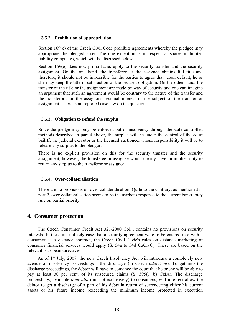#### **3.5.2. Prohibition of appropriation**

<span id="page-20-0"></span>Section 169(e) of the Czech Civil Code prohibits agreements whereby the pledgee may appropriate the pledged asset. The one exception is in respect of shares in limited liability companies, which will be discussed below.

Section 169(e) does not, prima facie, apply to the security transfer and the security assignment. On the one hand, the transferee or the assignee obtains full title and therefore, it should not be impossible for the parties to agree that, upon default, he or she may keep the title in satisfaction of the secured obligation. On the other hand, the transfer of the title or the assignment are made by way of security and one can imagine an argument that such an agreement would be contrary to the nature of the transfer and the transferor's or the assignor's residual interest in the subject of the transfer or assignment. There is no reported case law on the question.

#### **3.5.3. Obligation to refund the surplus**

Since the pledge may only be enforced out of insolvency through the state-controlled methods described in part 4 above, the surplus will be under the control of the court bailiff, the judicial executor or the licensed auctioneer whose responsibility it will be to release any surplus to the pledgor.

There is no explicit provision on this for the security transfer and the security assignment, however, the transferee or assignee would clearly have an implied duty to return any surplus to the transferor or assignor.

#### **3.5.4. Over-collateralisation**

There are no provisions on over-collateralisation. Quite to the contrary, as mentioned in part 2, over-collateralisation seems to be the market's response to the current bankruptcy rule on partial priority.

#### **4. Consumer protection**

The Czech Consumer Credit Act 321/2000 Coll., contains no provisions on security interests. In the quite unlikely case that a security agreement were to be entered into with a consumer as a distance contract, the Czech Civil Code's rules on distance marketing of consumer financial services would apply (S. 54a to 54d CzCivC). These are based on the relevant European directives.

As of  $1<sup>st</sup>$  July, 2007, the new Czech Insolvency Act will introduce a completely new avenue of insolvency proceedings - the discharge (in Czech *oddlužení*). To get into the discharge proceedings, the debtor will have to convince the court that he or she will be able to pay at least 30 per cent. of its unsecured claims (S. 395(1)(b) CzIA). The discharge proceedings, available *inter alia* (but not exclusively) to consumers, will in effect allow the debtor to get a discharge of a part of his debts in return of surrendering either his current assets or his future income (exceeding the minimum income protected in execution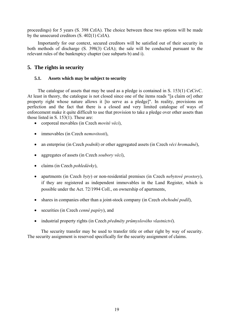proceedings) for 5 years (S. 398 CzIA). The choice between these two options will be made by the unsecured creditors (S. 402(1) CzIA).

Importantly for our context, secured creditors will be satisfied out of their security in both methods of discharge (S. 398(3) CzIA); the sale will be conducted pursuant to the relevant rules of the bankruptcy chapter (see subparts [b\)](#page-15-1) and [i\)](#page-16-0).

#### **5. The rights in security**

#### **5.1. Assets which may be subject to security**

The catalogue of assets that may be used as a pledge is contained in S. 153(1) CzCivC. At least in theory, the catalogue is not closed since one of the items reads "[a claim or] other property right whose nature allows it [to serve as a pledge]". In reality, provisions on perfection and the fact that there is a closed and very limited catalogue of ways of enforcement make it quite difficult to use that provision to take a pledge over other assets than those listed in S. 153(1). These are:

- corporeal movables (in Czech *movité věci*),
- immovables (in Czech *nemovitosti*),
- an enterprise (in Czech *podnik*) or other aggregated assets (in Czech *věci hromadné*),
- aggregates of assets (in Czech *soubory věcí*),
- claims (in Czech *pohledávky*),
- apartments (in Czech *byty*) or non-residential premises (in Czech *nebytové prostory*), if they are registered as independent immovables in the Land Register, which is possible under the Act. 72/1994 Coll., on ownership of apartments,
- shares in companies other than a joint-stock company (in Czech *obchodní podíl*),
- securities (in Czech *cenné papíry*), and
- industrial property rights (in Czech *předměty průmyslového vlastnictví*).

The security transfer may be used to transfer title or other right by way of security. The security assignment is reserved specifically for the security assignment of claims.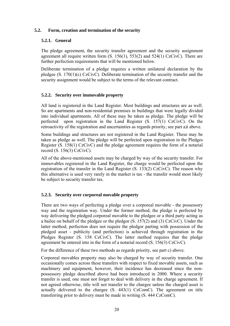#### **5.2. Form, creation and termination of the security**

#### **5.2.1. General**

The pledge agreement, the security transfer agreement and the security assignment agreement all require written form  $(S. 156(1), 553(2)$  and  $524(1)$  CzCivC). There are further perfection requirements that will be mentioned below.

Deliberate termination of a pledge requires a written unilateral declaration by the pledgee (S. 170(1)(c) CzCivC). Deliberate termination of the security transfer and the security assignment would be subject to the terms of the relevant contract.

#### **5.2.2. Security over immovable property**

All land is registered in the Land Register. Most buildings and structures are as well. So are apartments and non-residential premises in buildings that were legally divided into individual apartments. All of these may be taken as pledge. The pledge will be perfected upon registration in the Land Register (S. 157(1) CzCivC). On the retroactivity of the registration and uncertainties as regards priority, see part [a\)i](#page-9-2) above.

Some buildings and structures are not registered in the Land Register. These may be taken as pledge as well. The pledge will be perfected upon registration in the Pledges Register (S. 158(1) CzCivC) and the pledge agreement requires the form of a notarial record (S. 156(3) CzCivC).

All of the above-mentioned assets may be charged by way of the security transfer. For immovables registered in the Land Register, the charge would be perfected upon the registration of the transfer in the Land Register (S. 133(2) CzCivC). The reason why this alternative is used very rarely in the market is tax - the transfer would most likely be subject to security transfer tax.

#### **5.2.3. Security over corporeal movable property**

There are two ways of perfecting a pledge over a corporeal movable - the possessory way and the registration way. Under the former method, the pledge is perfected by way delivering the pledged corporeal movable to the pledgee or a third party acting as a bailee on behalf of the pledgee or the pledgor (S. 157(2) and (3) CzCivC). Under the latter method, perfection does not require the pledgor parting with possession of the pledged asset - publicity (and perfection) is achieved through registration in the Pledges Register (S. 158 CzCivC). The latter method requires that the pledge agreement be entered into in the form of a notarial record (S. 156(3) CzCivC).

For the difference of these two methods as regards priority, see part [c\)](#page-12-4) above.

Corporeal movables property may also be charged by way of security transfer. One occasionally comes across these transfers with respect to fixed movable assets, such as machinery and equipment, however, their incidence has decreased since the nonpossessory pledge described above had been introduced in 2000. Where a security transfer is used, one must not forget to deal with delivery in the charge agreement. If not agreed otherwise, title will not transfer to the chargee unless the charged asset is actually delivered to the chargee (S. 443(1) CzComC). The agreement on title transferring prior to delivery must be made in writing (S. 444 CzComC).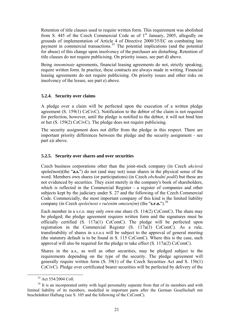Retention of title clauses used to require written form. This requirement was abolished from S. 445 of the Czech Commercial Code as of  $1<sup>st</sup>$  January, 2005, allegedly on grounds of implementation of Article 4 of Directive 2000/35/EC on combating late payment in commercial transactions.<sup>[35](#page-23-0)</sup> The potential implications (and the potential for abuse) of this change upon insolvency of the purchaser are disturbing. Retention of title clauses do not require publicising. On priority issues, see part [d\)](#page-18-1) above.

Being *innominate* agreements, financial leasing agreements do not, strictly speaking, require written form. In practice, these contracts are always made in writing. Financial leasing agreements do not require publicising. On priority issues and other risks on insolvency of the lessee, see part [e\)](#page-18-2) above.

#### **5.2.4. Security over claims**

A pledge over a claim will be perfected upon the execution of a written pledge agreement (S. 159(1) CzCivC). Notification to the debtor of the claim is not required for perfection, however, until the pledge is notified to the debtor, it will not bind him or her (S. 159(2) CzCivC). The pledge does not require publicising.

The security assignment does not differ from the pledge in this respect. There are important priority differences between the pledge and the security assignment - see part [a\)i](#page-9-2) above.

#### **5.2.5. Security over shares and over securities**

Czech business corporations other than the joint-stock company (in Czech *akciová*  společnost)(the "**a.s.**") do not (and may not) issue shares in the physical sense of the word. Members own shares (or participations) (in Czech *obchodní podíl*) but these are not evidenced by securities. They exist merely in the company's book of shareholders, which is reflected in the Commercial Register - a register of companies and other subjects kept by the judiciary under S. 27 and the following of the Czech Commercial Code. Commercially, the most important company of this kind is the limited liability company (in Czech *společnost s ručením omezeným*) (the "**s.r.o.**").[36](#page-23-1)

Each member in a s.r.o. may only own one share  $(S. 114(2)$  CzComC). The share may be pledged; the pledge agreement requires written form and the signatures must be officially certified (S. 117a(1) CzComC). The pledge will be perfected upon registration in the Commercial Register (S. 117a(3) CzComC). As a rule, transferability of shares in s.r.o.s will be subject to the approval of general meeting (the statutory default is to be found in S. 115 CzComC). Where this is the case, such approval will also be required for the pledge to take effect (S. 117a(2) CzComC).

Shares in the a.s., as well as other securities, may be pledged subject to the requirements depending on the type of the security. The pledge agreement will generally require written form (S. 39(1) of the Czech Securities Act and S. 156(1) CzCivC). Pledge over certificated bearer securities will be perfected by delivery of the

<sup>&</sup>lt;sup>35</sup> Act 554/2004 Coll

<span id="page-23-1"></span><span id="page-23-0"></span><sup>&</sup>lt;sup>36</sup> It is an incorporated entity with legal personality separate from that of its members and with limited liability of its members, modelled in important parts after the German Gesellschaft mit beschränkter Haftung (see S. 105 and the following of the CzComC).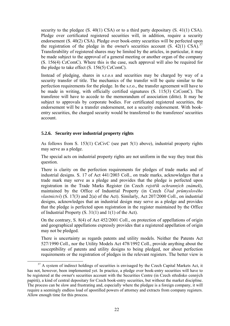security to the pledgee  $(S. 40(1)$  CSA) or to a third party depositary  $(S. 41(1)$  CSA). Pledge over certificated registered securities will, in addition, require a security endorsement (S. 40(2) CSA). Pledge over book-entry securities will be perfected upon the registration of the pledge in the owner's securities account  $(S, 42(1)$  CSA).<sup>[37](#page-24-0)</sup> Transferability of registered shares may be limited by the articles, in particular, it may be made subject to the approval of a general meeting or another organ of the company (S. 156(4) CzComC). Where this is the case, such approval will also be required for the pledge to take effect (S. 156(5) CzComC).

Instead of pledging, shares in s.r.o.s and securities may be charged by way of a security transfer of title. The mechanics of the transfer will be quite similar to the perfection requirements for the pledge. In the s.r.o., the transfer agreement will have to be made in writing, with officially certified signatures (S, 115(3) CzComC). The transferee will have to accede to the memorandum of association (ditto). It may be subject to approvals by corporate bodies. For certificated registered securities, the endorsement will be a transfer endorsement, not a security endorsement. With bookentry securities, the charged security would be transferred to the transferees' securities account.

#### **5.2.6. Security over industrial property rights**

As follows from S. 153(1) CzCivC (see part 5(1) above), industrial property rights may serve as a pledge.

The special acts on industrial property rights are not uniform in the way they treat this question.

There is clarity on the perfection requirements for pledges of trade marks and of industrial designs. S. 17 of Act 441/2003 Coll., on trade marks, acknowledges that a trade mark may serve as a pledge and provides that the pledge is perfected upon registration in the Trade Marks Register (in Czech *rejstřík ochranných známek*), maintained by the Office of Industrial Property (in Czech *Úřad průmyslového vlastnictví*) (S. 17(3) and 2(a) of the Act). Similarly, Act 207/2000 Coll., on industrial designs, acknowledges that an industrial design may serve as a pledge and provides that the pledge is perfected upon registration in the register maintained by the Office of Industrial Property (S. 31(1) and 1(1) of the Act).

On the contrary, S. 8(4) of Act 452/2001 Coll., on protection of appellations of origin and geographical appellations expressly provides that a registered appellation of origin may not be pledged.

There is uncertainty as regards patents and utility models. Neither the Patents Act 527/1990 Coll., nor the Utility Models Act 478/1992 Coll., provide anything about the susceptibility of patents and utility designs to being pledged, nor about perfection requirements or the registration of pledges in the relevant registers. The better view is

<span id="page-24-0"></span><sup>&</sup>lt;sup>37</sup> A system of indirect holdings of securities is envisaged by the Czech Capital Markets Act, it has not, however, been implemented yet. In practice, a pledge over book-entry securities will have to be registered at the owner's securities account with the Securities Centre (in Czech středisko cenných papírů), a kind of central depositary for Czech book-entry securities, but without the market discipline. The process can be slow and frustrating and, especially where the pledgee is a foreign company, it will require a seemingly endless load of apostilled powers of attorney and extracts from company registers. Allow enough time for this process.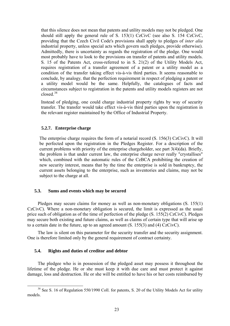that this silence does not mean that patents and utility models may not be pledged. One should still apply the general rule of S. 153(1) CzCivC (see also S. 154 CzCivC, providing that the Czech Civil Code's provisions shall apply to pledges of *inter alia* industrial property, unless special acts which govern such pledges, provide otherwise). Admittedly, there is uncertainty as regards the registration of the pledge. One would most probably have to look to the provisions on transfer of patents and utility models. S. 15 of the Patents Act, cross-referred to in S. 21(2) of the Utility Models Act, requires registration of a transfer agreement of a patent or a utility model as a condition of the transfer taking effect vis-à-vis third parties. It seems reasonable to conclude, by analogy*,* that the perfection requirement in respect of pledging a patent or a utility model would be the same. Helpfully, the catalogues of facts and circumstances subject to registration in the patents and utility models registers are not closed.[38](#page-25-0)

Instead of pledging, one could charge industrial property rights by way of security transfer. The transfer would take effect vis-à-vis third parties upon the registration in the relevant register maintained by the Office of Industrial Property.

#### **5.2.7. Enterprise charge**

The enterprise charge requires the form of a notarial record (S. 156(3) CzCivC). It will be perfected upon the registration in the Pledges Register. For a description of the current problems with priority of the enterprise chargeholder, see part 3(4)(da). Briefly, the problem is that under current law, the enterprise charge never really "crystallises" which, combined with the automatic rules of the CzBCA prohibiting the creation of new security interest, means that by the time the enterprise is sold in bankruptcy, the current assets belonging to the enterprise, such as inventories and claims, may not be subject to the charge at all.

#### **5.3. Sums and events which may be secured**

Pledges may secure claims for money as well as non-monetary obligations (S. 155(1) CzCivC). Where a non-monetary obligation is secured, the limit is expressed as the usual price such of obligation as of the time of perfection of the pledge (S. 155(2) CzCivC). Pledges may secure both existing and future claims, as well as claims of certain type that will arise up to a certain date in the future, up to an agreed amount  $(S. 155(3)$  and  $(4)$  CzCivC).

The law is silent on this parameter for the security transfer and the security assignment. One is therefore limited only by the general requirement of contract certainty.

#### **5.4. Rights and duties of creditor and debtor**

The pledgee who is in possession of the pledged asset may possess it throughout the lifetime of the pledge. He or she must keep it with due care and must protect it against damage, loss and destruction. He or she will be entitled to have his or her costs reimbursed by

<span id="page-25-0"></span><sup>&</sup>lt;sup>38</sup> See S. 16 of Regulation 550/1990 Coll. for patents, S. 20 of the Utility Models Act for utility models.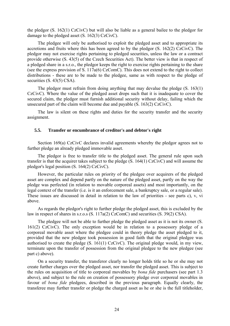the pledgor (S. 162(1) CzCivC) but will also be liable as a general bailee to the pledgor for damage to the pledged asset (S. 162(3) CzCivC).

The pledgee will only be authorised to exploit the pledged asset and to appropriate its accretions and fruits where this has been agreed to by the pledgor (S. 162(2) CzCivC). The pledgor may not exercise rights pertaining to pledged securities, unless the law or a contract provide otherwise (S. 43(5) of the Czech Securities Act). The better view is that in respect of a pledged share in a s.r.o., the pledgor keeps the right to exercise rights pertaining to the share (see the express provision of S. 117a(6) CzComC). This does not extend to the right to collect distributions - these are to be made to the pledgee, same as with respect to the pledge of securities (S. 43(5) CSA).

The pledgor must refrain from doing anything that may devalue the pledge (S. 163(1) CzCivC). Where the value of the pledged asset drops such that it is inadequate to cover the secured claim, the pledgor must furnish additional security without delay, failing which the unsecured part of the claim will become due and payable (S. 163(2) CzCivC).

The law is silent on these rights and duties for the security transfer and the security assignment.

#### **5.5. Transfer or encumbrance of creditor's and debtor's right**

Section 169(a) CzCivC declares invalid agreements whereby the pledgor agrees not to further pledge an already pledged immovable asset.

The pledgor is free to transfer title to the pledged asset. The general rule upon such transfer is that the acquirer takes subject to the pledge (S. 164(1) CzCivC) and will assume the pledgor's legal position (S. 164(2) CzCivC).

However, the particular rules on priority of the pledgee over acquirers of the pledged asset are complex and depend partly on the nature of the pledged asset, partly on the way the pledge was perfected (in relation to movable corporeal assets) and most importantly, on the legal context of the transfer (i.e. is it an enforcement sale, a bankruptcy sale, or a regular sale). These issues are discussed in detail in relation to the law of priorities - see parts [c\),](#page-12-4) [v](#page-15-2), [vi](#page-15-3) above.

As regards the pledgor's right to further pledge the pledged asset, this is excluded by the law in respect of shares in s.r.o.s (S. 117a(2) CzComC) and securities (S. 39(2) CSA).

The pledgee will not be able to further pledge the pledged asset as it is not its owner (S. 161(2) CzCivC). The only exception would be in relation to a possessory pledge of a corporeal movable asset where the pledgee could in theory pledge the asset pledged to it, provided that the new pledgee took possession in good faith that the original pledgee was authorised to create the pledge (S. 161(1) CzCivC). The original pledge would, in my view, terminate upon the transfer of possession from the original pledgee to the new pledgee (see part [c\)](#page-12-4) above).

On a security transfer, the transferor clearly no longer holds title so he or she may not create further charges over the pledged asset, nor transfer the pledged asset. This is subject to the rules on acquisition of title to corporeal movables by *bona fide* purchasers (see part [1.3](#page-4-2) above), and subject to the rule on creation of possessory pledge over corporeal movables in favour of *bona fide* pledgees, described in the previous paragraph. Equally clearly, the transferee may further transfer or pledge the charged asset as he or she is the full titleholder,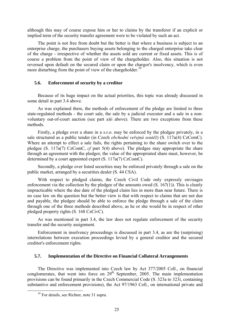although this may of course expose him or her to claims by the transferor if an explicit or implied term of the security transfer agreement were to be violated by such an act.

The point is not free from doubt but the better is that where a business is subject to an enterprise charge, the purchasers buying assets belonging to the charged enterprise take clear of the charge - irrespective of whether the assets sold are current or fixed assets. This is of course a problem from the point of view of the chargeholder. Also, this situation is not reversed upon default on the secured claim or upon the chargor's insolvency, which is even more disturbing from the point of view of the chargeholder.<sup>[39](#page-27-0)</sup>

#### **5.6. Enforcement of security by a creditor**

Because of its huge impact on the actual priorities, this topic was already discussed in some detail in part [3.4](#page-8-4) above.

As was explained there, the methods of enforcement of the pledge are limited to three state-regulated methods - the court sale, the sale by a judicial executor and a sale in a nonvoluntary out-of-court auction (see part [a\)ii](#page-11-1) above). There are two exceptions from these methods.

Firstly, a pledge over a share in a s.r.o. may be enforced by the pledgee privately, in a sale structured as a public tender (in Czech *obchodní veřejná soutěž*) (S. 117a(4) CzComC). Where an attempt to effect a sale fails, the rights pertaining to the share switch over to the pledgee (S. 117a(7) CzComC, *cf* part 5(4) above). The pledgee may appropriate the share through an agreement with the pledgor, the value of the appropriated share must, however, be determined by a court appointed expert (S. 117a(7) CzComC).

Secondly, a pledge over listed securities may be enforced privately through a sale on the public market, arranged by a securities dealer (S. 44 CSA).

With respect to pledged claims, the Czech Civil Code only expressly envisages enforcement via the collection by the pledgee of the amounts owed (S. 167(1)). This is clearly impracticable where the due date of the pledged claim lies in more than near future. There is no case law on the question but the better view is that with respect to claims that are not due and payable, the pledgee should be able to enforce the pledge through a sale of the claim through one of the three methods described above, as he or she would be in respect of other pledged property rights (S. 168 CzCivC).

As was mentioned in part [3.4,](#page-8-4) the law does not regulate enforcement of the security transfer and the security assignment.

Enforcement in insolvency proceedings is discussed in part [3.4](#page-8-4), as are the (surprising) interrelations between execution proceedings levied by a general creditor and the secured creditor's enforcement rights.

#### **5.7. Implementation of the Directive on Financial Collateral Arrangements**

The Directive was implemented into Czech law by Act 377/2005 Coll., on financial conglomerates, that went into force on  $29<sup>th</sup>$  September, 2005. The main implementation provisions can be found primarily in the Czech Commercial Code (S. 323a to 323i, containing substantive and enforcement provisions), the Act 97/1963 Coll., on international private and

<span id="page-27-0"></span><sup>&</sup>lt;sup>39</sup> For details, see Richter, note 31 supra.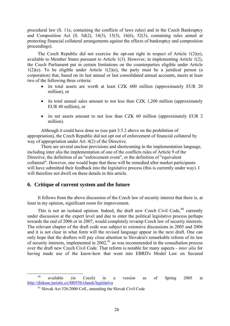procedural law (S. 11e, containing the conflicts of laws rules) and in the Czech Bankruptcy and Composition Act  $(S, 5d(2), 14(3), 15(5), 16(6), 52(3),$  containing rules aimed at protecting financial collateral arrangements against the effects of bankruptcy and composition proceedings).

The Czech Republic did not exercise the opt-out right in respect of Article 1(2)(e), available to Member States pursuant to Article 1(3). However, in implementing Article 1(2), the Czech Parliament put in certain limitations on the counterparties eligible under Article  $1(2)(e)$ . To be eligible under Article  $1(2)(e)$ , the party must be a juridical person (a corporation) that, based on its last annual or last consolidated annual accounts, meets at least two of the following three criteria:

- its total assets are worth at least CZK 600 million (approximately EUR 20) million), or
- its total annual sales amount to not less than CZK 1,200 million (approximately EUR 40 million), or
- its net assets amount to not less than CZK 60 million (approximately EUR 2) million).

Although it could have done so (see part [3.5.2](#page-20-0) above on the prohibition of appropriation), the Czech Republic did not opt out of enforcement of financial collateral by way of appropriation under Art. 4(2) of the Directive.

 There are several unclear provisions and shortcoming in the implementation language, including inter alia the implementation of one of the conflicts rules of Article 9 of the Directive, the definition of an "enforcement event", or the definition of "equivalent collateral". However, one would hope that these will be remedied after market participants will have submitted their feedback into the legislative process (this is currently under way). I will therefore not dwell on these details in this article.

#### **6. Critique of current system and the future**

It follows from the above discussion of the Czech law of security interest that there is, at least in my opinion, significant room for improvement.

This is not an isolated opinion. Indeed, the draft new Czech Civil Code,  $40$  currently under discussion at the expert level and due to enter the political legislative process perhaps towards the end of 2006 or in 2007, would completely revamp Czech law of security interests. The relevant chapter of the draft code was subject to extensive discussions in 2005 and 2006 and it is not clear in what form will the revised language appear in the next draft. One can only hope that the drafters will pay close attention to Slovakia's remarkable reform of its law of security interests, implemented in  $2002<sup>41</sup>$  $2002<sup>41</sup>$  $2002<sup>41</sup>$  as was recommended in the consultation process over the draft new Czech Civil Code. That reform is notable for many aspects - *inter alia* for having made use of the know-how that went into EBRD's Model Law on Secured

<span id="page-28-1"></span><span id="page-28-0"></span><sup>&</sup>lt;sup>40</sup> available (in Czech) in a version as of Spring 2005 at <http://diskuse.juristic.cz/480556/clanek/legislativa>

<sup>41</sup> Slovak Act 526/2000 Coll., amending the Slovak Civil Code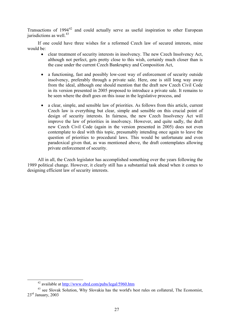Transactions of  $1994^{42}$  $1994^{42}$  $1994^{42}$  and could actually serve as useful inspiration to other European jurisdictions as well. $43$ 

If one could have three wishes for a reformed Czech law of secured interests, mine would be:

- clear treatment of security interests in insolvency. The new Czech Insolvency Act, although not perfect, gets pretty close to this wish, certainly much closer than is the case under the current Czech Bankruptcy and Composition Act,
- a functioning, fast and possibly low-cost way of enforcement of security outside insolvency, preferably through a private sale. Here, one is still long way away from the ideal, although one should mention that the draft new Czech Civil Code in its version presented in 2005 proposed to introduce a private sale. It remains to be seen where the draft goes on this issue in the legislative process, and
- a clear, simple, and sensible law of priorities. As follows from this article, current Czech law is everything but clear, simple and sensible on this crucial point of design of security interests. In fairness, the new Czech Insolvency Act will improve the law of priorities in insolvency. However, and quite sadly, the draft new Czech Civil Code (again in the version presented in 2005) does not even contemplate to deal with this topic, presumably intending once again to leave the question of priorities to procedural laws. This would be unfortunate and even paradoxical given that, as was mentioned above, the draft contemplates allowing private enforcement of security.

All in all, the Czech legislator has accomplished something over the years following the 1989 political change. However, it clearly still has a substantial task ahead when it comes to designing efficient law of security interests.

<span id="page-29-1"></span><span id="page-29-0"></span><sup>&</sup>lt;sup>42</sup> available at  $\frac{http://www.ebrd.com/pubs/legal/5960.htm}{\text{43}}$  see Slovak Solution, Why Slovakia has the world's best rules on collateral, The Economist, 23rd January, 2003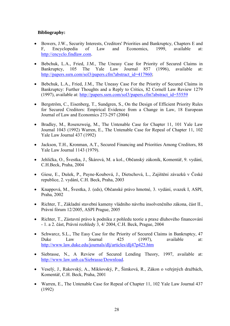#### **Bibliography:**

- Bowers, J.W., Security Interests, Creditors' Priorities and Bankruptcy, Chapters E and F, Encyclopedia of Law and Economics, 1999, available at: [http://encyclo.findlaw.com.](http://encyclo.findlaw.com/)
- Bebchuk, L.A., Fried, J.M., The Uneasy Case for Priority of Secured Claims in Bankruptcy, 105 The Yale Law Journal 857 (1996), available at: [http://papers.ssrn.com/sol3/papers.cfm?abstract\\_id=417960;](http://papers.ssrn.com/sol3/papers.cfm?abstract_id=417960)
- Bebchuk, L.A., Fried, J.M., The Uneasy Case For the Priority of Secured Claims in Bankruptcy: Further Thoughts and a Reply to Critics, 82 Cornell Law Review 1279 (1997), available at: [http://papers.ssrn.com/sol3/papers.cfm?abstract\\_id=55559](http://papers.ssrn.com/sol3/papers.cfm?abstract_id=55559)
- Bergström, C., Eisenberg, T., Sundgren, S., On the Design of Efficient Priority Rules for Secured Creditors: Empirical Evidence from a Change in Law, 18 European Journal of Law and Economics 273-297 (2004)
- Bradley, M., Rosenzweig, M., The Untenable Case for Chapter 11, 101 Yale Law Journal 1043 (1992) Warren, E., The Untenable Case for Repeal of Chapter 11, 102 Yale Law Journal 437 (1992)
- Jackson, T.H., Kronman, A.T., Secured Financing and Priorities Among Creditors, 88 Yale Law Journal 1143 (1979).
- Jehlička, O., Švestka, J., Škárová, M. a kol., Občanský zákoník, Komentář, 9. vydání, C.H.Beck, Praha, 2004
- Giese, E., Dušek, P., Payne-Koubová, J., Dietschová, L., Zajištění závazků v České republice, 2. vydání, C.H. Beck, Praha, 2003
- Knappová, M., Švestka, J. (eds), Občanské právo hmotné, 3. vydání, svazek I, ASPI, Praha, 2002
- Richter, T., Základní stavební kameny vládního návrhu insolvenčního zákona, část II., Právní fórum 12/2005, ASPI Prague, 2005
- Richter, T., Zástavní právo k podniku z pohledu teorie a praxe dluhového financování - 1. a 2. část, Právní rozhledy 3, 4/ 2004, C.H. Beck, Prague, 2004
- Schwarcz, S.L., The Easy Case for the Priority of Secured Claims in Bankruptcy, 47 Duke Law Journal 425 (1997), available at: <http://www.law.duke.edu/journals/dlj/articles/dlj47p425.htm>
- Siebrasse, N., A Review of Secured Lending Theory, 1997, available at: <http://www.law.unb.ca/Siebrasse/Download>.
- Veselý, J., Rakovský, A., Mikšovský, P., Šimková, R., Zákon o veřejných dražbách, Komentář, C.H. Beck, Praha, 2001
- Warren, E., The Untenable Case for Repeal of Chapter 11, 102 Yale Law Journal 437 (1992)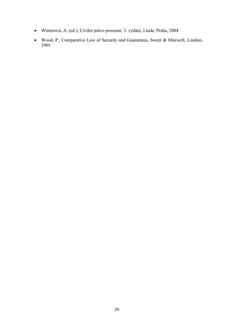- Winterová, A. (ed.), Civilní právo procesní, 3. vydání, Linde, Praha, 2004
- Wood, P., Comparative Law of Security and Guarantees, Sweet & Maxwell, London, 1995